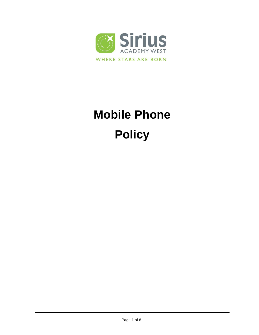

# **Mobile Phone Policy**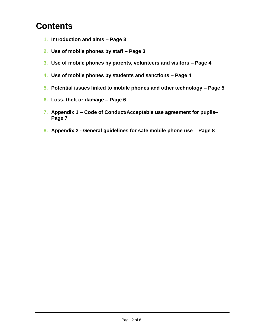## **Contents**

- **1. Introduction and aims – Page 3**
- **2. Use of mobile phones by staff – Page 3**
- **3. Use of mobile phones by parents, volunteers and visitors – Page 4**
- **4. Use of mobile phones by students and sanctions – Page 4**
- **5. Potential issues linked to mobile phones and other technology – Page 5**
- **6. Loss, theft or damage – Page 6**
- **7. Appendix 1 – Code of Conduct/Acceptable use agreement for pupils– Page 7**
- **8. Appendix 2 - General guidelines for safe mobile phone use – Page 8**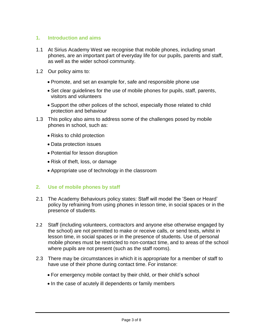#### **1. Introduction and aims**

- 1.1 At Sirius Academy West we recognise that mobile phones, including smart phones, are an important part of everyday life for our pupils, parents and staff, as well as the wider school community.
- 1.2 Our policy aims to:
	- Promote, and set an example for, safe and responsible phone use
	- Set clear guidelines for the use of mobile phones for pupils, staff, parents, visitors and volunteers
	- Support the other polices of the school, especially those related to child protection and behaviour
- 1.3 This policy also aims to address some of the challenges posed by mobile phones in school, such as:
	- Risks to child protection
	- Data protection issues
	- Potential for lesson disruption
	- Risk of theft, loss, or damage
	- Appropriate use of technology in the classroom

#### **2. Use of mobile phones by staff**

- 2.1 The Academy Behaviours policy states: Staff will model the 'Seen or Heard' policy by refraining from using phones in lesson time, in social spaces or in the presence of students**.**
- 2.2 Staff (including volunteers, contractors and anyone else otherwise engaged by the school) are not permitted to make or receive calls, or send texts, whilst in lesson time, in social spaces or in the presence of students. Use of personal mobile phones must be restricted to non-contact time, and to areas of the school where pupils are not present (such as the staff rooms).
- 2.3 There may be circumstances in which it is appropriate for a member of staff to have use of their phone during contact time. For instance:
	- For emergency mobile contact by their child, or their child's school
	- In the case of acutely ill dependents or family members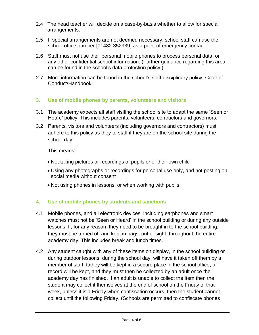- 2.4 The head teacher will decide on a case-by-basis whether to allow for special arrangements.
- 2.5 If special arrangements are not deemed necessary, school staff can use the school office number [01482 352939] as a point of emergency contact.
- 2.6 Staff must not use their personal mobile phones to process personal data, or any other confidential school information. (Further guidance regarding this area can be found in the school's data protection policy.)
- 2.7 More information can be found in the school's staff disciplinary policy, Code of Conduct/Handbook.

#### **3. Use of mobile phones by parents, volunteers and visitors**

- 3.1 The academy expects all staff visiting the school site to adapt the same 'Seen or Heard' policy. This includes parents, volunteers, contractors and governors.
- 3.2 Parents, visitors and volunteers (including governors and contractors) must adhere to this policy as they to staff if they are on the school site during the school day.

This means:

- Not taking pictures or recordings of pupils or of their own child
- Using any photographs or recordings for personal use only, and not posting on social media without consent
- Not using phones in lessons, or when working with pupils

#### **4. Use of mobile phones by students and sanctions**

- 4.1 Mobile phones, and all electronic devices, including earphones and smart watches must not be 'Seen or Heard' in the school building or during any outside lessons. If, for any reason, they need to be brought in to the school building, they must be turned off and kept in bags, out of sight, throughout the entire academy day. This includes break and lunch times.
- 4.2 Any student caught with any of these items on display, in the school building or during outdoor lessons, during the school day, will have it taken off them by a member of staff. It/they will be kept in a secure place in the school office, a record will be kept, and they must then be collected by an adult once the academy day has finished. If an adult is unable to collect the item then the student may collect it themselves at the end of school on the Friday of that week, unless it is a Friday when confiscation occurs, then the student cannot collect until the following Friday. (Schools are permitted to confiscate phones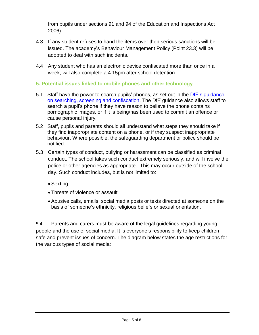from pupils under sections 91 and 94 of the Education and Inspections Act 2006)

- 4.3 If any student refuses to hand the items over then serious sanctions will be issued. The academy's Behaviour Management Policy (Point 23.3) will be adopted to deal with such incidents.
- 4.4 Any student who has an electronic device confiscated more than once in a week, will also complete a 4.15pm after school detention.
- **5. Potential issues linked to mobile phones and other technology**
- 5.1 Staff have the power to search pupils' phones, as set out in the [DfE's guidance](https://www.gov.uk/government/publications/searching-screening-and-confiscation)  [on searching, screening and confiscation.](https://www.gov.uk/government/publications/searching-screening-and-confiscation) The DfE guidance also allows staff to search a pupil's phone if they have reason to believe the phone contains pornographic images, or if it is being/has been used to commit an offence or cause personal injury.
- 5.2 Staff, pupils and parents should all understand what steps they should take if they find inappropriate content on a phone, or if they suspect inappropriate behaviour. Where possible, the safeguarding department or police should be notified.
- 5.3 Certain types of conduct, bullying or harassment can be classified as criminal conduct. The school takes such conduct extremely seriously, and will involve the police or other agencies as appropriate. This may occur outside of the school day. Such conduct includes, but is not limited to:
	- Sexting
	- Threats of violence or assault
	- Abusive calls, emails, social media posts or texts directed at someone on the basis of someone's ethnicity, religious beliefs or sexual orientation.

5.4 Parents and carers must be aware of the legal guidelines regarding young people and the use of social media. It is everyone's responsibility to keep children safe and prevent issues of concern. The diagram below states the age restrictions for the various types of social media: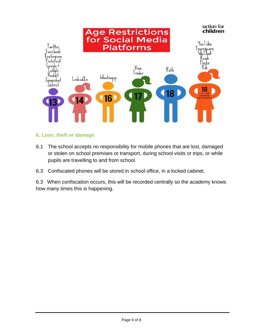

#### **6. Loss, theft or damage**

- 6.1 The school accepts no responsibility for mobile phones that are lost, damaged or stolen on school premises or transport, during school visits or trips, or while pupils are travelling to and from school.
- 6.3 Confiscated phones will be stored in school office, in a locked cabinet.

6.3 When confiscation occurs, this will be recorded centrally so the academy knows how many times this is happening.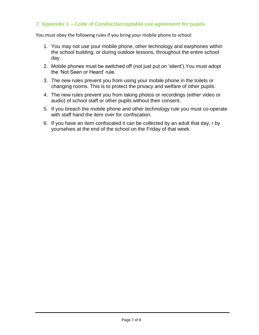### **7. Appendix 1 – Code of Conduct/acceptable use agreement for pupils**

You must obey the following rules if you bring your mobile phone to school:

- 1. You may not use your mobile phone, other technology and earphones within the school building, or during outdoor lessons, throughout the entire school day.
- 2. Mobile phones must be switched off (not just put on 'silent').You must adopt the 'Not Seen or Heard' rule.
- 3. The new rules prevent you from using your mobile phone in the toilets or changing rooms. This is to protect the privacy and welfare of other pupils.
- 4. The new rules prevent you from taking photos or recordings (either video or audio) of school staff or other pupils without their consent.
- 5. If you breach the mobile phone and other technology rule you must co-operate with staff hand the item over for confiscation.
- 6. If you have an item confiscated it can be collected by an adult that day, r by yourselves at the end of the school on the Friday of that week.